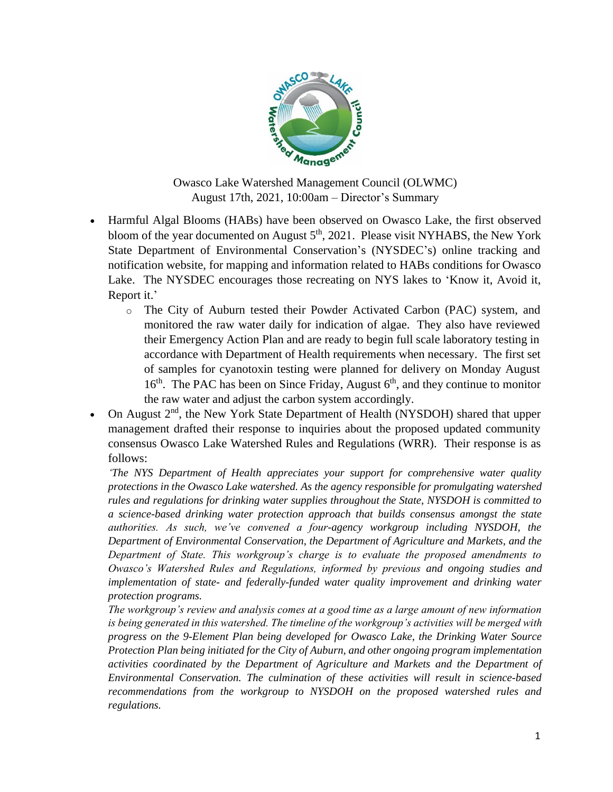

Owasco Lake Watershed Management Council (OLWMC) August 17th, 2021, 10:00am – Director's Summary

- Harmful Algal Blooms (HABs) have been observed on Owasco Lake, the first observed bloom of the year documented on August 5<sup>th</sup>, 2021. Please visit NYHABS, the New York State Department of Environmental Conservation's (NYSDEC's) online tracking and notification website, for mapping and information related to HABs conditions for Owasco Lake. The NYSDEC encourages those recreating on NYS lakes to 'Know it, Avoid it, Report it.'
	- o The City of Auburn tested their Powder Activated Carbon (PAC) system, and monitored the raw water daily for indication of algae. They also have reviewed their Emergency Action Plan and are ready to begin full scale laboratory testing in accordance with Department of Health requirements when necessary. The first set of samples for cyanotoxin testing were planned for delivery on Monday August  $16<sup>th</sup>$ . The PAC has been on Since Friday, August  $6<sup>th</sup>$ , and they continue to monitor the raw water and adjust the carbon system accordingly.
- On August  $2<sup>nd</sup>$ , the New York State Department of Health (NYSDOH) shared that upper management drafted their response to inquiries about the proposed updated community consensus Owasco Lake Watershed Rules and Regulations (WRR). Their response is as follows:

*'The NYS Department of Health appreciates your support for comprehensive water quality protections in the Owasco Lake watershed. As the agency responsible for promulgating watershed rules and regulations for drinking water supplies throughout the State, NYSDOH is committed to a science-based drinking water protection approach that builds consensus amongst the state authorities. As such, we've convened a four-agency workgroup including NYSDOH, the Department of Environmental Conservation, the Department of Agriculture and Markets, and the Department of State. This workgroup's charge is to evaluate the proposed amendments to Owasco's Watershed Rules and Regulations, informed by previous and ongoing studies and implementation of state- and federally-funded water quality improvement and drinking water protection programs.*

*The workgroup's review and analysis comes at a good time as a large amount of new information is being generated in this watershed. The timeline of the workgroup's activities will be merged with progress on the 9-Element Plan being developed for Owasco Lake, the Drinking Water Source Protection Plan being initiated for the City of Auburn, and other ongoing program implementation activities coordinated by the Department of Agriculture and Markets and the Department of Environmental Conservation. The culmination of these activities will result in science-based recommendations from the workgroup to NYSDOH on the proposed watershed rules and regulations.*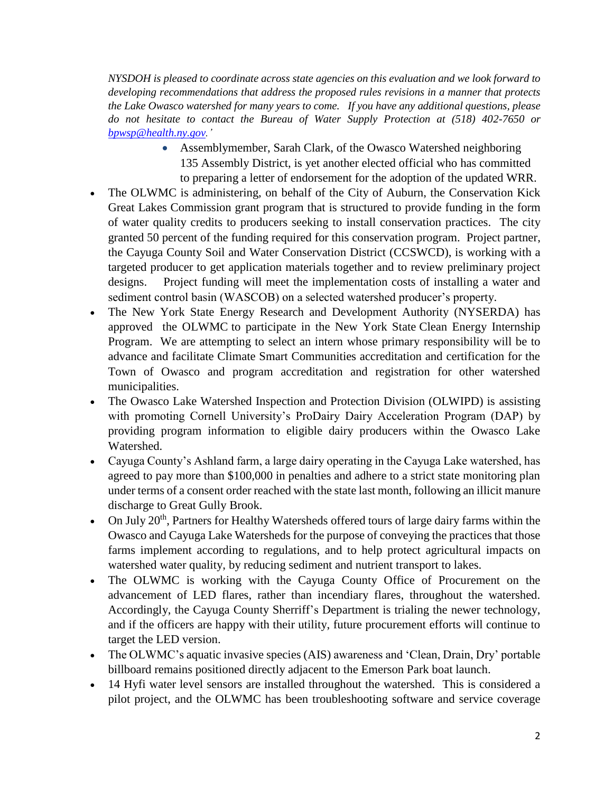*NYSDOH is pleased to coordinate across state agencies on this evaluation and we look forward to developing recommendations that address the proposed rules revisions in a manner that protects the Lake Owasco watershed for many years to come. If you have any additional questions, please do not hesitate to contact the Bureau of Water Supply Protection at (518) 402-7650 or [bpwsp@health.ny.gov.](mailto:bpwsp@health.ny.gov)'*

- Assemblymember, Sarah Clark, of the Owasco Watershed neighboring 135 Assembly District, is yet another elected official who has committed to preparing a letter of endorsement for the adoption of the updated WRR.
- The OLWMC is administering, on behalf of the City of Auburn, the Conservation Kick Great Lakes Commission grant program that is structured to provide funding in the form of water quality credits to producers seeking to install conservation practices. The city granted 50 percent of the funding required for this conservation program. Project partner, the Cayuga County Soil and Water Conservation District (CCSWCD), is working with a targeted producer to get application materials together and to review preliminary project designs. Project funding will meet the implementation costs of installing a water and sediment control basin (WASCOB) on a selected watershed producer's property.
- The New York State Energy Research and Development Authority (NYSERDA) has approved the OLWMC to participate in the New York State [Clean Energy Internship](https://nam01.safelinks.protection.outlook.com/?url=https%3A%2F%2Fprotect2.fireeye.com%2Fv1%2Furl%3Fk%3D4af81bb6-16de2c15-4afae283-000babda0106-df18e7b791387d11%26q%3D1%26e%3D145b393a-dd11-46e9-a16c-82da8e6f3c67%26u%3Dhttps%253A%252F%252Fnam01.safelinks.protection.outlook.com%252F%253Furl%253Dhttps%25253A%25252F%25252Fportal.nyserda.ny.gov%25252FCORE_Solicitation_Detail_Page%25253FSolicitationId%25253Da0rt000000MdhViAAJ%2526data%253D02%25257C01%25257CRVance%252540trccompanies.com%25257C7a615c1aa33e4225d49e08d7a4d4b4ea%25257C543eaf7b7e0d4076a34d1fc8cc20e5bb%25257C0%25257C0%25257C637159105798061945%2526sdata%253DbeVz2kmxcxn1g7AjvOvKUiIcsaq5EH7krkEkkU59OqQ%25253D%2526reserved%253D0&data=02%7C01%7CRVance%40trccompanies.com%7C7712f0efde0c4b6be7d208d7ac06775a%7C543eaf7b7e0d4076a34d1fc8cc20e5bb%7C0%7C0%7C637167016102811516&sdata=hZncB1blcrShCxa034rZxfePhXow3BmZYnj%2FLHQScXU%3D&reserved=0)  [Program.](https://nam01.safelinks.protection.outlook.com/?url=https%3A%2F%2Fprotect2.fireeye.com%2Fv1%2Furl%3Fk%3D4af81bb6-16de2c15-4afae283-000babda0106-df18e7b791387d11%26q%3D1%26e%3D145b393a-dd11-46e9-a16c-82da8e6f3c67%26u%3Dhttps%253A%252F%252Fnam01.safelinks.protection.outlook.com%252F%253Furl%253Dhttps%25253A%25252F%25252Fportal.nyserda.ny.gov%25252FCORE_Solicitation_Detail_Page%25253FSolicitationId%25253Da0rt000000MdhViAAJ%2526data%253D02%25257C01%25257CRVance%252540trccompanies.com%25257C7a615c1aa33e4225d49e08d7a4d4b4ea%25257C543eaf7b7e0d4076a34d1fc8cc20e5bb%25257C0%25257C0%25257C637159105798061945%2526sdata%253DbeVz2kmxcxn1g7AjvOvKUiIcsaq5EH7krkEkkU59OqQ%25253D%2526reserved%253D0&data=02%7C01%7CRVance%40trccompanies.com%7C7712f0efde0c4b6be7d208d7ac06775a%7C543eaf7b7e0d4076a34d1fc8cc20e5bb%7C0%7C0%7C637167016102811516&sdata=hZncB1blcrShCxa034rZxfePhXow3BmZYnj%2FLHQScXU%3D&reserved=0) We are attempting to select an intern whose primary responsibility will be to advance and facilitate Climate Smart Communities accreditation and certification for the Town of Owasco and program accreditation and registration for other watershed municipalities.
- The Owasco Lake Watershed Inspection and Protection Division (OLWIPD) is assisting with promoting Cornell University's ProDairy Dairy Acceleration Program (DAP) by providing program information to eligible dairy producers within the Owasco Lake Watershed.
- Cayuga County's Ashland farm, a large dairy operating in the Cayuga Lake watershed, has agreed to pay more than \$100,000 in penalties and adhere to a strict state monitoring plan under terms of a consent order reached with the state last month, following an illicit manure discharge to Great Gully Brook.
- On July  $20<sup>th</sup>$ , Partners for Healthy Watersheds offered tours of large dairy farms within the Owasco and Cayuga Lake Watersheds for the purpose of conveying the practices that those farms implement according to regulations, and to help protect agricultural impacts on watershed water quality, by reducing sediment and nutrient transport to lakes.
- The OLWMC is working with the Cayuga County Office of Procurement on the advancement of LED flares, rather than incendiary flares, throughout the watershed. Accordingly, the Cayuga County Sherriff's Department is trialing the newer technology, and if the officers are happy with their utility, future procurement efforts will continue to target the LED version.
- The OLWMC's aquatic invasive species (AIS) awareness and 'Clean, Drain, Dry' portable billboard remains positioned directly adjacent to the Emerson Park boat launch.
- 14 Hyfi water level sensors are installed throughout the watershed. This is considered a pilot project, and the OLWMC has been troubleshooting software and service coverage